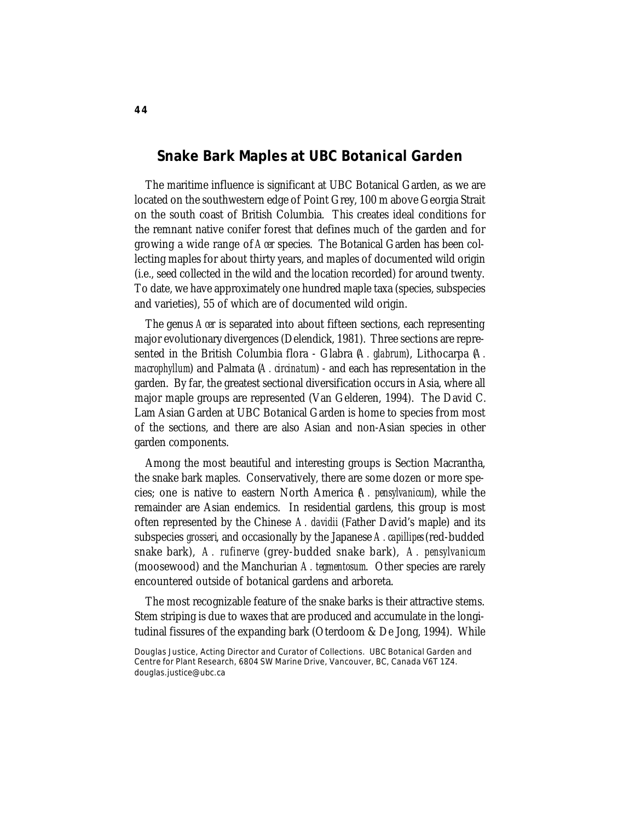# **Snake Bark Maples at UBC Botanical Garden**

The maritime influence is significant at UBC Botanical Garden, as we are located on the southwestern edge of Point Grey, 100 m above Georgia Strait on the south coast of British Columbia. This creates ideal conditions for the remnant native conifer forest that defines much of the garden and for growing a wide range of *Acer* species. The Botanical Garden has been collecting maples for about thirty years, and maples of documented wild origin (i.e., seed collected in the wild and the location recorded) for around twenty. To date, we have approximately one hundred maple taxa (species, subspecies and varieties), 55 of which are of documented wild origin.

The genus *Acer* is separated into about fifteen sections, each representing major evolutionary divergences (Delendick, 1981). Three sections are represented in the British Columbia flora - Glabra (*A. glabrum*), Lithocarpa (*A. macrophyllum*) and Palmata (*A. circinatum*) - and each has representation in the garden. By far, the greatest sectional diversification occurs in Asia, where all major maple groups are represented (Van Gelderen, 1994). The David C. Lam Asian Garden at UBC Botanical Garden is home to species from most of the sections, and there are also Asian and non-Asian species in other garden components.

Among the most beautiful and interesting groups is Section Macrantha, the snake bark maples. Conservatively, there are some dozen or more species; one is native to eastern North America (*A. pensylvanicum*), while the remainder are Asian endemics. In residential gardens, this group is most often represented by the Chinese *A. davidii* (Father David's maple) and its subspecies *grosseri*, and occasionally by the Japanese *A. capillipes* (red-budded snake bark), *A. rufinerve* (grey-budded snake bark), *A. pensylvanicum* (moosewood) and the Manchurian *A. tegmentosum*. Other species are rarely encountered outside of botanical gardens and arboreta.

The most recognizable feature of the snake barks is their attractive stems. Stem striping is due to waxes that are produced and accumulate in the longitudinal fissures of the expanding bark (Oterdoom & De Jong, 1994). While

Douglas Justice, Acting Director and Curator of Collections. UBC Botanical Garden and Centre for Plant Research, 6804 SW Marine Drive, Vancouver, BC, Canada V6T 1Z4. douglas.justice@ubc.ca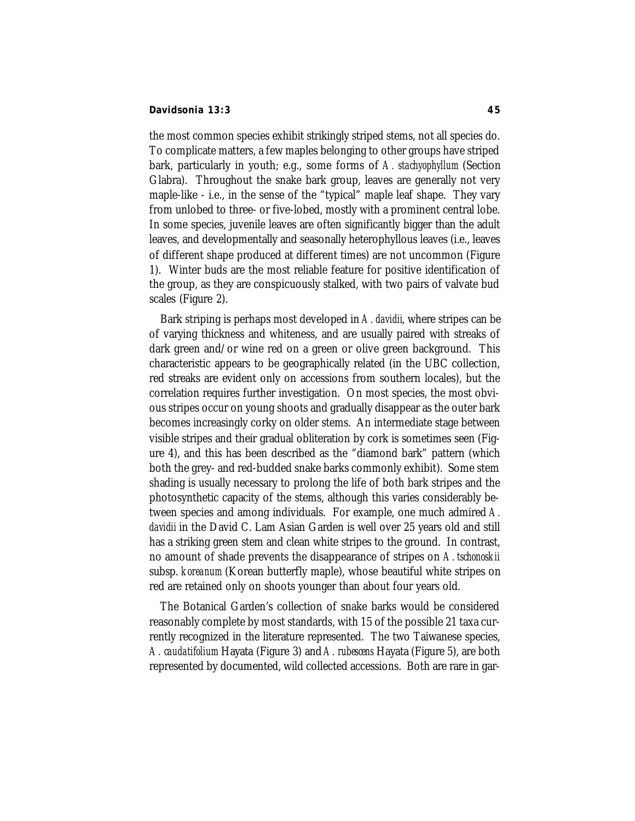### **Davidsonia 13:3 45**

the most common species exhibit strikingly striped stems, not all species do. To complicate matters, a few maples belonging to other groups have striped bark, particularly in youth; e.g., some forms of *A. stachyophyllum* (Section Glabra). Throughout the snake bark group, leaves are generally not very maple-like - i.e., in the sense of the "typical" maple leaf shape. They vary from unlobed to three- or five-lobed, mostly with a prominent central lobe. In some species, juvenile leaves are often significantly bigger than the adult leaves, and developmentally and seasonally heterophyllous leaves (i.e., leaves of different shape produced at different times) are not uncommon (Figure 1). Winter buds are the most reliable feature for positive identification of the group, as they are conspicuously stalked, with two pairs of valvate bud scales (Figure 2).

Bark striping is perhaps most developed in *A. davidii*, where stripes can be of varying thickness and whiteness, and are usually paired with streaks of dark green and/or wine red on a green or olive green background. This characteristic appears to be geographically related (in the UBC collection, red streaks are evident only on accessions from southern locales), but the correlation requires further investigation. On most species, the most obvious stripes occur on young shoots and gradually disappear as the outer bark becomes increasingly corky on older stems. An intermediate stage between visible stripes and their gradual obliteration by cork is sometimes seen (Figure 4), and this has been described as the "diamond bark" pattern (which both the grey- and red-budded snake barks commonly exhibit). Some stem shading is usually necessary to prolong the life of both bark stripes and the photosynthetic capacity of the stems, although this varies considerably between species and among individuals. For example, one much admired *A. davidii* in the David C. Lam Asian Garden is well over 25 years old and still has a striking green stem and clean white stripes to the ground. In contrast, no amount of shade prevents the disappearance of stripes on *A. tschonoskii* subsp. *koreanum* (Korean butterfly maple), whose beautiful white stripes on red are retained only on shoots younger than about four years old.

The Botanical Garden's collection of snake barks would be considered reasonably complete by most standards, with 15 of the possible 21 taxa currently recognized in the literature represented. The two Taiwanese species, *A. caudatifolium* Hayata (Figure 3) and *A. rubescens* Hayata (Figure 5), are both represented by documented, wild collected accessions. Both are rare in gar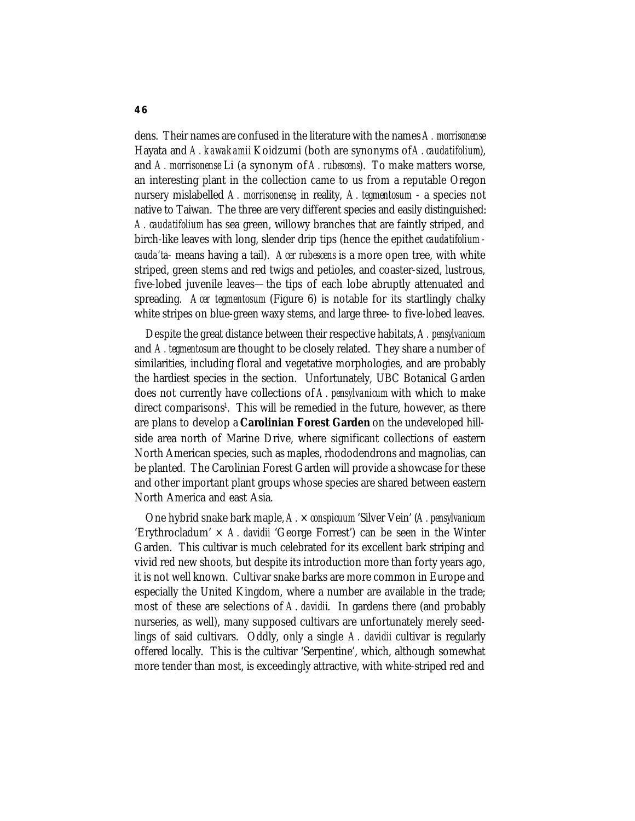dens. Their names are confused in the literature with the names *A. morrisonense* Hayata and *A. kawakamii* Koidzumi (both are synonyms of *A. caudatifolium*), and *A. morrisonense* Li (a synonym of *A. rubescens*). To make matters worse, an interesting plant in the collection came to us from a reputable Oregon nursery mislabelled *A. morrisonense*; in reality, *A. tegmentosum* - a species not native to Taiwan. The three are very different species and easily distinguished: *A. caudatifolium* has sea green, willowy branches that are faintly striped, and birch-like leaves with long, slender drip tips (hence the epithet *caudatifolium cauda'ta*- means having a tail). *Acer rubescens* is a more open tree, with white striped, green stems and red twigs and petioles, and coaster-sized, lustrous, five-lobed juvenile leaves—the tips of each lobe abruptly attenuated and spreading. *Acer tegmentosum* (Figure 6) is notable for its startlingly chalky white stripes on blue-green waxy stems, and large three- to five-lobed leaves.

Despite the great distance between their respective habitats, *A. pensylvanicum* and *A. tegmentosum* are thought to be closely related. They share a number of similarities, including floral and vegetative morphologies, and are probably the hardiest species in the section. Unfortunately, UBC Botanical Garden does not currently have collections of *A. pensylvanicum* with which to make direct comparisons<sup>1</sup>. This will be remedied in the future, however, as there are plans to develop a **Carolinian Forest Garden** on the undeveloped hillside area north of Marine Drive, where significant collections of eastern North American species, such as maples, rhododendrons and magnolias, can be planted. The Carolinian Forest Garden will provide a showcase for these and other important plant groups whose species are shared between eastern North America and east Asia.

One hybrid snake bark maple, *A.* × *conspicuum* 'Silver Vein' (*A. pensylvanicum* 'Erythrocladum' × *A. davidii* 'George Forrest') can be seen in the Winter Garden. This cultivar is much celebrated for its excellent bark striping and vivid red new shoots, but despite its introduction more than forty years ago, it is not well known. Cultivar snake barks are more common in Europe and especially the United Kingdom, where a number are available in the trade; most of these are selections of *A. davidii*. In gardens there (and probably nurseries, as well), many supposed cultivars are unfortunately merely seedlings of said cultivars. Oddly, only a single *A. davidii* cultivar is regularly offered locally. This is the cultivar 'Serpentine', which, although somewhat more tender than most, is exceedingly attractive, with white-striped red and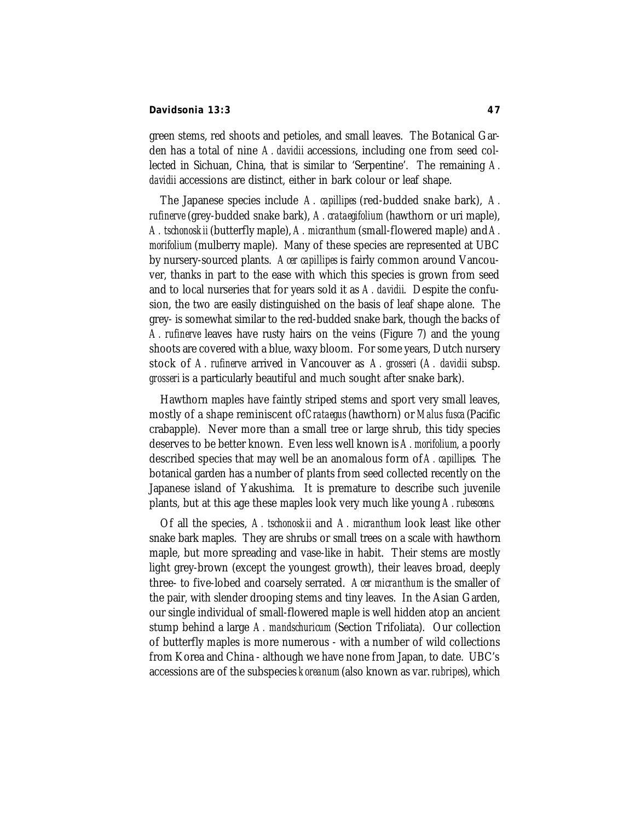### **Davidsonia 13:3 47**

green stems, red shoots and petioles, and small leaves. The Botanical Garden has a total of nine *A. davidii* accessions, including one from seed collected in Sichuan, China, that is similar to 'Serpentine'. The remaining *A. davidii* accessions are distinct, either in bark colour or leaf shape.

The Japanese species include *A. capillipes* (red-budded snake bark), *A. rufinerve* (grey-budded snake bark), *A. crataegifolium* (hawthorn or uri maple), *A. tschonoskii* (butterfly maple), *A. micranthum* (small-flowered maple) and *A. morifolium* (mulberry maple). Many of these species are represented at UBC by nursery-sourced plants. *Acer capillipes* is fairly common around Vancouver, thanks in part to the ease with which this species is grown from seed and to local nurseries that for years sold it as *A. davidii*. Despite the confusion, the two are easily distinguished on the basis of leaf shape alone. The grey- is somewhat similar to the red-budded snake bark, though the backs of *A. rufinerve* leaves have rusty hairs on the veins (Figure 7) and the young shoots are covered with a blue, waxy bloom. For some years, Dutch nursery stock of *A. rufinerve* arrived in Vancouver as *A. grosseri* (*A. davidii* subsp. *grosseri* is a particularly beautiful and much sought after snake bark).

Hawthorn maples have faintly striped stems and sport very small leaves, mostly of a shape reminiscent of *Crataegus* (hawthorn) or *Malus fusca* (Pacific crabapple). Never more than a small tree or large shrub, this tidy species deserves to be better known. Even less well known is *A. morifolium*, a poorly described species that may well be an anomalous form of *A. capillipes*. The botanical garden has a number of plants from seed collected recently on the Japanese island of Yakushima. It is premature to describe such juvenile plants, but at this age these maples look very much like young *A. rubescens*.

Of all the species, *A. tschonoskii* and *A. micranthum* look least like other snake bark maples. They are shrubs or small trees on a scale with hawthorn maple, but more spreading and vase-like in habit. Their stems are mostly light grey-brown (except the youngest growth), their leaves broad, deeply three- to five-lobed and coarsely serrated. *Acer micranthum* is the smaller of the pair, with slender drooping stems and tiny leaves. In the Asian Garden, our single individual of small-flowered maple is well hidden atop an ancient stump behind a large *A. mandschuricum* (Section Trifoliata). Our collection of butterfly maples is more numerous - with a number of wild collections from Korea and China - although we have none from Japan, to date. UBC's accessions are of the subspecies *koreanum* (also known as var. *rubripes*), which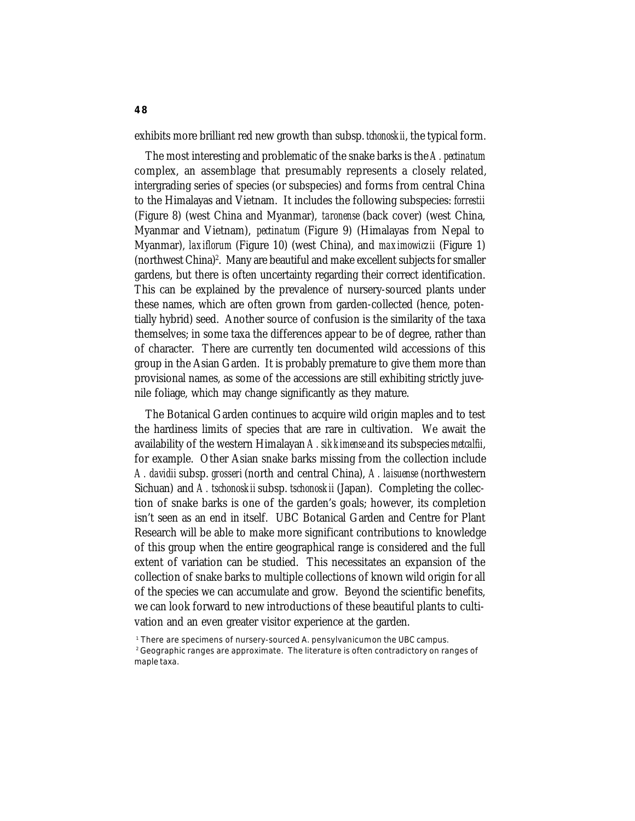exhibits more brilliant red new growth than subsp. *tchonoskii*, the typical form.

The most interesting and problematic of the snake barks is the *A. pectinatum* complex, an assemblage that presumably represents a closely related, intergrading series of species (or subspecies) and forms from central China to the Himalayas and Vietnam. It includes the following subspecies: *forrestii* (Figure 8) (west China and Myanmar), *taronense* (back cover) (west China, Myanmar and Vietnam), *pectinatum* (Figure 9) (Himalayas from Nepal to Myanmar), *laxiflorum* (Figure 10) (west China), and *maximowiczii* (Figure 1) (northwest China)<sup>2</sup>. Many are beautiful and make excellent subjects for smaller gardens, but there is often uncertainty regarding their correct identification. This can be explained by the prevalence of nursery-sourced plants under these names, which are often grown from garden-collected (hence, potentially hybrid) seed. Another source of confusion is the similarity of the taxa themselves; in some taxa the differences appear to be of degree, rather than of character. There are currently ten documented wild accessions of this group in the Asian Garden. It is probably premature to give them more than provisional names, as some of the accessions are still exhibiting strictly juvenile foliage, which may change significantly as they mature.

The Botanical Garden continues to acquire wild origin maples and to test the hardiness limits of species that are rare in cultivation. We await the availability of the western Himalayan *A. sikkimense* and its subspecies *metcalfii*, for example. Other Asian snake barks missing from the collection include *A. davidii* subsp. *grosseri* (north and central China), *A. laisuense* (northwestern Sichuan) and *A. tschonoskii* subsp. *tschonoskii* (Japan). Completing the collection of snake barks is one of the garden's goals; however, its completion isn't seen as an end in itself. UBC Botanical Garden and Centre for Plant Research will be able to make more significant contributions to knowledge of this group when the entire geographical range is considered and the full extent of variation can be studied. This necessitates an expansion of the collection of snake barks to multiple collections of known wild origin for all of the species we can accumulate and grow. Beyond the scientific benefits, we can look forward to new introductions of these beautiful plants to cultivation and an even greater visitor experience at the garden.

<sup>1</sup> There are specimens of nursery-sourced A. pensylvanicumon the UBC campus. 2 Geographic ranges are approximate. The literature is often contradictory on ranges of maple taxa.

**48**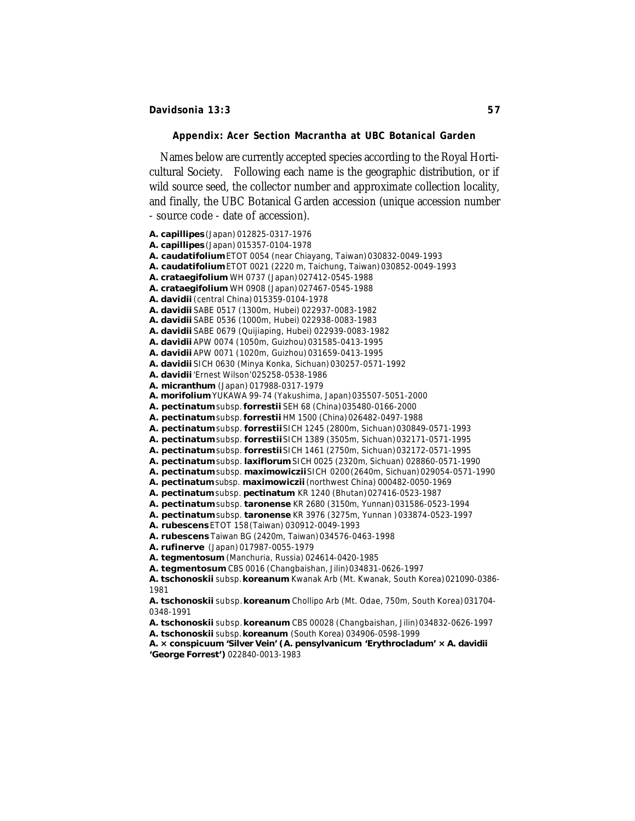### **Appendix:** *Acer* **Section Macrantha at UBC Botanical Garden**

Names below are currently accepted species according to the Royal Horticultural Society. Following each name is the geographic distribution, or if wild source seed, the collector number and approximate collection locality, and finally, the UBC Botanical Garden accession (unique accession number

- source code - date of accession). *A. capillipes* (Japan) 012825-0317-1976 *A. capillipes* (Japan) 015357-0104-1978 *A. caudatifolium* ETOT 0054 (near Chiayang, Taiwan) 030832-0049-1993 *A. caudatifolium* ETOT 0021 (2220 m, Taichung, Taiwan) 030852-0049-1993 *A. crataegifolium* WH 0737 (Japan) 027412-0545-1988 *A. crataegifolium* WH 0908 (Japan) 027467-0545-1988 *A. davidii* (central China) 015359-0104-1978 *A. davidii* SABE 0517 (1300m, Hubei) 022937-0083-1982 *A. davidii* SABE 0536 (1000m, Hubei) 022938-0083-1983 *A. davidii* SABE 0679 (Quijiaping, Hubei) 022939-0083-1982 *A. davidii* APW 0074 (1050m, Guizhou) 031585-0413-1995 *A. davidii* APW 0071 (1020m, Guizhou) 031659-0413-1995 *A. davidii* SICH 0630 (Minya Konka, Sichuan) 030257-0571-1992 *A. davidii* 'Ernest Wilson' 025258-0538-1986 *A. micranthum* (Japan) 017988-0317-1979 *A. morifolium* YUKAWA 99-74 (Yakushima, Japan) 035507-5051-2000 *A. pectinatum* subsp.*forrestii* SEH 68 (China) 035480-0166-2000 *A. pectinatum* subsp.*forrestii* HM 1500 (China) 026482-0497-1988 *A. pectinatum* subsp. *forrestii* SICH 1245 (2800m, Sichuan) 030849-0571-1993 *A. pectinatum* subsp. *forrestii* SICH 1389 (3505m, Sichuan) 032171-0571-1995 *A. pectinatum* subsp. *forrestii* SICH 1461 (2750m, Sichuan) 032172-0571-1995 *A. pectinatum* subsp. *laxiflorum* SICH 0025 (2320m, Sichuan) 028860-0571-1990 *A. pectinatum* subsp. *maximowiczii*SICH 0200(2640m, Sichuan) 029054-0571-1990 *A. pectinatum* subsp. *maximowiczii* (northwest China) 000482-0050-1969 *A. pectinatum* subsp. *pectinatum* KR 1240 (Bhutan) 027416-0523-1987 *A. pectinatum* subsp. *taronense* KR 2680 (3150m, Yunnan) 031586-0523-1994 *A. pectinatum* subsp. *taronense* KR 3976 (3275m, Yunnan ) 033874-0523-1997 *A. rubescens* ETOT 158(Taiwan) 030912-0049-1993 *A. rubescens* Taiwan BG (2420m, Taiwan) 034576-0463-1998 *A. rufinerve* (Japan) 017987-0055-1979 *A. tegmentosum* (Manchuria, Russia) 024614-0420-1985 *A. tegmentosum* CBS 0016 (Changbaishan, Jilin) 034831-0626-1997 *A. tschonoskii* subsp. *koreanum* Kwanak Arb (Mt. Kwanak, South Korea) 021090-0386- 1981 *A. tschonoskii* subsp. *koreanum* Chollipo Arb (Mt. Odae, 750m, South Korea) 031704-

0348-1991

*A. tschonoskii* subsp. *koreanum* CBS 00028 (Changbaishan, Jilin) 034832-0626-1997

*A. tschonoskii* subsp. *koreanum* (South Korea) 034906-0598-1999

*A. × conspicuum* **'Silver Vein' (***A. pensylvanicum* **'Erythrocladum' ×** *A. davidii* **'George Forrest')** 022840-0013-1983